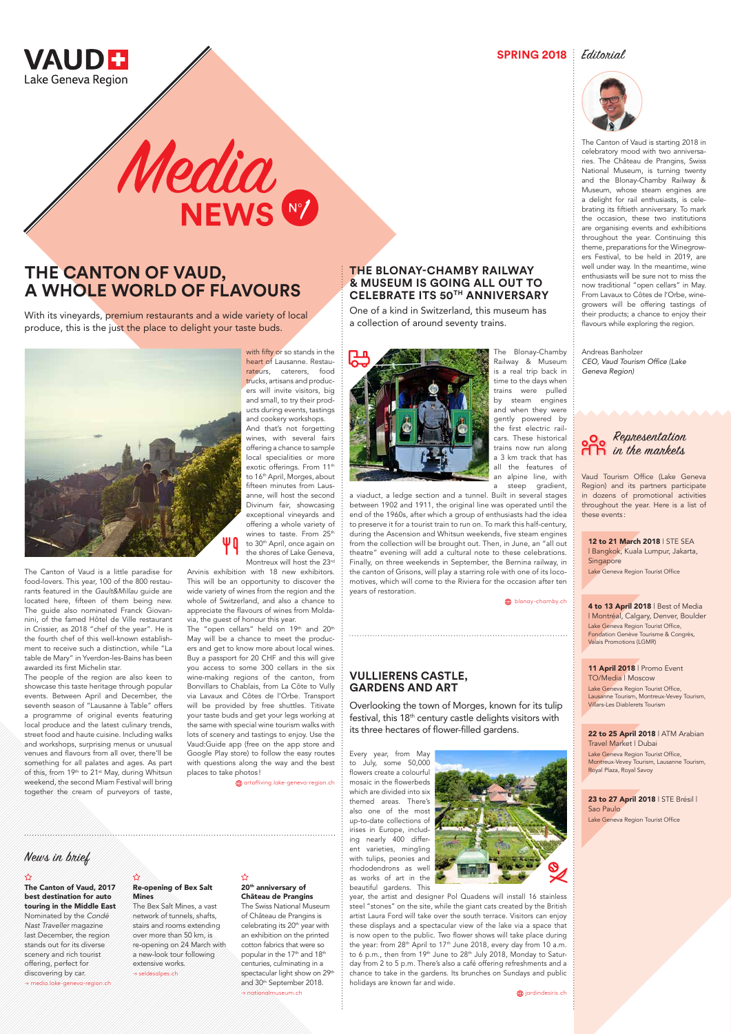

**SPRING 2018** Editorial



### **THE BLONAY-CHAMBY RAILWAY & MUSEUM IS GOING ALL OUT TO CELEBRATE ITS 50TH ANNIVERSARY**

One of a kind in Switzerland, this museum has a collection of around seventy trains.



With its vineyards, premium restaurants and a wide variety of local produce, this is the just the place to delight your taste buds.



a viaduct, a ledge section and a tunnel. Built in several stages between 1902 and 1911, the original line was operated until the end of the 1960s, after which a group of enthusiasts had the idea to preserve it for a tourist train to run on. To mark this half-century, during the Ascension and Whitsun weekends, five steam engines from the collection will be brought out. Then, in June, an "all out theatre" evening will add a cultural note to these celebrations. Finally, on three weekends in September, the Bernina railway, in the canton of Grisons, will play a starring role with one of its locomotives, which will come to the Riviera for the occasion after ten years of restoration.

**blonay-chamby.ch** 

The people of the region are also keen to showcase this taste heritage through popular events. Between April and December, the seventh season of "Lausanne à Table" offers a programme of original events featuring local produce and the latest culinary trends, street food and haute cuisine. Including walks and workshops, surprising menus or unusual venues and flavours from all over, there'll be something for all palates and ages. As part of this, from 19th to 21st May, during Whitsun

# **THE CANTON OF VAUD, A WHOLE WORLD OF FLAVOURS**

Media<br>NEWS

And that's not forgetting wines, with several fairs offering a chance to sample local specialities or more exotic offerings. From 11<sup>th</sup> to 16<sup>th</sup> April, Morges, about fifteen minutes from Lausanne, will host the second Divinum fair, showcasing exceptional vineyards and offering a whole variety of wines to taste. From 25th to 30<sup>th</sup> April, once again on the shores of Lake Geneva, Montreux will host the 23rd

The Canton of Vaud is a little paradise for food-lovers. This year, 100 of the 800 restaurants featured in the *Gault&Millau* guide are located here, fifteen of them being new. The guide also nominated Franck Giovannini, of the famed Hôtel de Ville restaurant in Crissier, as 2018 "chef of the year". He is the fourth chef of this well-known establishment to receive such a distinction, while "La table de Mary" in Yverdon-les-Bains has been awarded its first Michelin star.

The "open cellars" held on 19th and 20th May will be a chance to meet the producers and get to know more about local wines. Buy a passport for 20 CHF and this will give you access to some 300 cellars in the six wine-making regions of the canton, from Bonvillars to Chablais, from La Côte to Vully via Lavaux and Côtes de l'Orbe. Transport will be provided by free shuttles. Titivate your taste buds and get your legs working at the same with special wine tourism walks with lots of scenery and tastings to enjoy. Use the Vaud:Guide app (free on the app store and Google Play store) to follow the easy routes with questions along the way and the best places to take photos !

weekend, the second Miam Festival will bring together the cream of purveyors of taste, with fifty or so stands in the heart of Lausanne. Restaurateurs, caterers, food trucks, artisans and producers will invite visitors, big and small, to try their products during events, tastings and cookery workshops.

Arvinis exhibition with 18 new exhibitors. This will be an opportunity to discover the wide variety of wines from the region and the whole of Switzerland, and also a chance to appreciate the flavours of wines from Moldavia, the guest of honour this year.

> 20<sup>th</sup> anniversary of Château de Prangins The Swiss National Museum of Château de Prangins is celebrating its 20<sup>th</sup> year with an exhibition on the printed cotton fabrics that were so popular in the 17<sup>th</sup> and 18<sup>th</sup> centuries, culminating in a spectacular light show on 29th and 30<sup>th</sup> September 2018. → nationalmuseum.ch

☆

12 to 21 March 2018 | STE SEA | Bangkok, Kuala Lumpur, Jakarta, Singapore Lake Geneva Region Tourist Office

4 to 13 April 2018 | Best of Media | Montréal, Calgary, Denver, Boulder Lake Geneva Region Tourist Office, Fondation Genève Tourisme & Congrès Valais Promotions (LGMR)

23 to 27 April 2018 | STE Brésil | Sao Paulo Lake Geneva Region Tourist Office

#### artofliving.lake-geneva-region.ch

The Canton of Vaud is starting 2018 in celebratory mood with two anniversaries. The Château de Prangins, Swiss National Museum, is turning twenty and the Blonay-Chamby Railway & Museum, whose steam engines are a delight for rail enthusiasts, is celebrating its fiftieth anniversary. To mark the occasion, these two institutions are organising events and exhibitions throughout the year. Continuing this theme, preparations for the Winegrowers Festival, to be held in 2019, are well under way. In the meantime, wine enthusiasts will be sure not to miss the now traditional "open cellars" in May. From Lavaux to Côtes de l'Orbe, winegrowers will be offering tastings of their products; a chance to enjoy their flavours while exploring the region.

Andreas Banholzer CEO, Vaud Tourism Office (Lake Geneva Region)

# **VULLIERENS CASTLE, GARDENS AND ART**

Overlooking the town of Morges, known for its tulip festival, this 18th century castle delights visitors with its three hectares of flower-filled gardens.

Every year, from May to July, some 50,000 flowers create a colourful mosaic in the flowerbeds



which are divided into six themed areas. There's also one of the most up-to-date collections of irises in Europe, including nearly 400 different varieties, mingling with tulips, peonies and rhododendrons as well as works of art in the beautiful gardens. This



year, the artist and designer Pol Quadens will install 16 stainless steel "stones" on the site, while the giant cats created by the British artist Laura Ford will take over the south terrace. Visitors can enjoy these displays and a spectacular view of the lake via a space that is now open to the public. Two flower shows will take place during the year: from 28<sup>th</sup> April to 17<sup>th</sup> June 2018, every day from 10 a.m. to 6 p.m., then from 19th June to 28th July 2018, Monday to Saturday from 2 to 5 p.m. There's also a café offering refreshments and a chance to take in the gardens. Its brunches on Sundays and public holidays are known far and wide.

**(h)** jardindesiris.ch

The Canton of Vaud, 2017 best destination for auto touring in the Middle East Nominated by the *Condé Nast Traveller* magazine last December, the region stands out for its diverse scenery and rich tourist offering, perfect for discovering by car. → media.lake-geneva-region.ch

Re-opening of Bex Salt Mines

The Bex Salt Mines, a vast network of tunnels, shafts, stairs and rooms extending over more than 50 km, is re-opening on 24 March with a new-look tour following extensive works. → seldesalpes.ch

## News in brief

11 April 2018 | Promo Event TO/Media | Moscow Lake Geneva Region Tourist Office, Lausanne Tourism, Montreux-Vevey Tourism, Villars-Les Diablerets Tourism

#### 22 to 25 April 2018 | ATM Arabian Travel Market | Dubai Lake Geneva Region Tourist Office,

Montreux-Vevey Tourism, Lausanne Tourism, Royal Plaza, Royal Savoy



Vaud Tourism Office (Lake Geneva Region) and its partners participate in dozens of promotional activities throughout the year. Here is a list of these events :